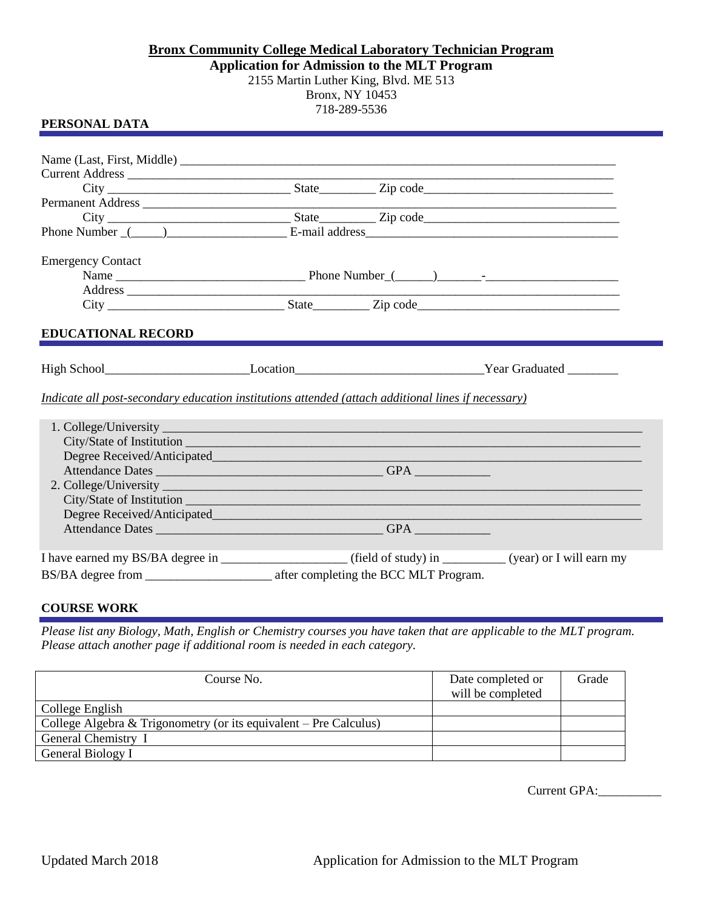## **Bronx Community College Medical Laboratory Technician Program Application for Admission to the MLT Program** 2155 Martin Luther King, Blvd. ME 513 Bronx, NY 10453 718-289-5536

## **PERSONAL DATA**

| Phone Number (1) 2012 [2013] E-mail address 2014 [2013] [2014] [2014] [2014] [2014] [2014] [2014] [2014] [2014] [2014] [2014] [2014] [2014] [2014] [2014] [2014] [2014] [2014] [2014] [2014] [2014] [2014] [2014] [2014] [2014 |  |  |  |
|--------------------------------------------------------------------------------------------------------------------------------------------------------------------------------------------------------------------------------|--|--|--|
| <b>Emergency Contact</b>                                                                                                                                                                                                       |  |  |  |
|                                                                                                                                                                                                                                |  |  |  |
| Address experience and the contract of the contract of the contract of the contract of the contract of the contract of the contract of the contract of the contract of the contract of the contract of the contract of the con |  |  |  |
|                                                                                                                                                                                                                                |  |  |  |
| <b>EDUCATIONAL RECORD</b>                                                                                                                                                                                                      |  |  |  |
|                                                                                                                                                                                                                                |  |  |  |
| Indicate all post-secondary education institutions attended (attach additional lines if necessary)                                                                                                                             |  |  |  |
|                                                                                                                                                                                                                                |  |  |  |
|                                                                                                                                                                                                                                |  |  |  |
|                                                                                                                                                                                                                                |  |  |  |
|                                                                                                                                                                                                                                |  |  |  |
|                                                                                                                                                                                                                                |  |  |  |
|                                                                                                                                                                                                                                |  |  |  |
|                                                                                                                                                                                                                                |  |  |  |
|                                                                                                                                                                                                                                |  |  |  |
|                                                                                                                                                                                                                                |  |  |  |
|                                                                                                                                                                                                                                |  |  |  |

## **COURSE WORK**

*Please list any Biology, Math, English or Chemistry courses you have taken that are applicable to the MLT program. Please attach another page if additional room is needed in each category.*

| Course No.                                                        | Date completed or | Grade |
|-------------------------------------------------------------------|-------------------|-------|
|                                                                   | will be completed |       |
| College English                                                   |                   |       |
| College Algebra & Trigonometry (or its equivalent – Pre Calculus) |                   |       |
| General Chemistry I                                               |                   |       |
| General Biology I                                                 |                   |       |

Current GPA:\_\_\_\_\_\_\_\_\_\_